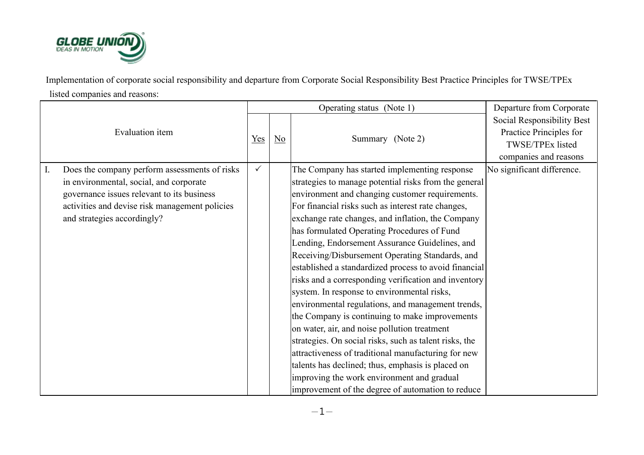

Implementation of corporate social responsibility and departure from Corporate Social Responsibility Best Practice Principles for TWSE/TPEx listed companies and reasons:

|                                                                                                                                                                                                                                           |              |                        | Operating status (Note 1)                                                                                                                                                                                                                                                                                                                                                                                                                                                                                                                                                                                                                                                                                                                                                                                                                                                                                                                                                                                                | Departure from Corporate                                                                           |
|-------------------------------------------------------------------------------------------------------------------------------------------------------------------------------------------------------------------------------------------|--------------|------------------------|--------------------------------------------------------------------------------------------------------------------------------------------------------------------------------------------------------------------------------------------------------------------------------------------------------------------------------------------------------------------------------------------------------------------------------------------------------------------------------------------------------------------------------------------------------------------------------------------------------------------------------------------------------------------------------------------------------------------------------------------------------------------------------------------------------------------------------------------------------------------------------------------------------------------------------------------------------------------------------------------------------------------------|----------------------------------------------------------------------------------------------------|
| <b>Evaluation</b> item                                                                                                                                                                                                                    | Yes          | $\overline{\text{No}}$ | Summary (Note 2)                                                                                                                                                                                                                                                                                                                                                                                                                                                                                                                                                                                                                                                                                                                                                                                                                                                                                                                                                                                                         | Social Responsibility Best<br>Practice Principles for<br>TWSE/TPEx listed<br>companies and reasons |
| $\mathbf{I}$ .<br>Does the company perform assessments of risks<br>in environmental, social, and corporate<br>governance issues relevant to its business<br>activities and devise risk management policies<br>and strategies accordingly? | $\checkmark$ |                        | The Company has started implementing response<br>strategies to manage potential risks from the general<br>environment and changing customer requirements.<br>For financial risks such as interest rate changes,<br>exchange rate changes, and inflation, the Company<br>has formulated Operating Procedures of Fund<br>Lending, Endorsement Assurance Guidelines, and<br>Receiving/Disbursement Operating Standards, and<br>established a standardized process to avoid financial<br>risks and a corresponding verification and inventory<br>system. In response to environmental risks,<br>environmental regulations, and management trends,<br>the Company is continuing to make improvements<br>on water, air, and noise pollution treatment<br>strategies. On social risks, such as talent risks, the<br>attractiveness of traditional manufacturing for new<br>talents has declined; thus, emphasis is placed on<br>improving the work environment and gradual<br>improvement of the degree of automation to reduce | No significant difference.                                                                         |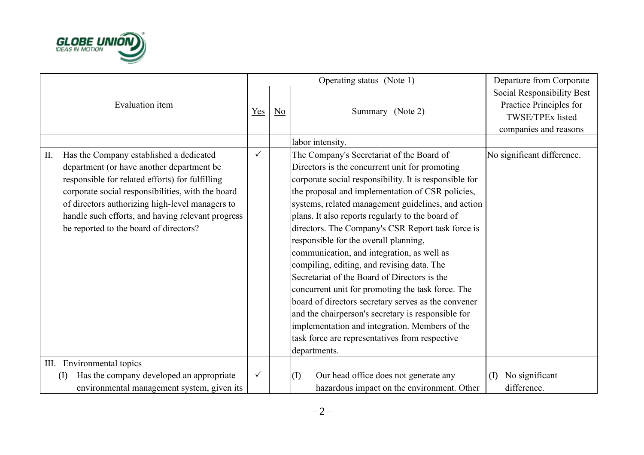

|     |                                                                                                                                                                                                                                                                                                                                                |              |                | Operating status (Note 1)                                                                                                                                                                                                                                                                                                                                                                                                                                                                                                                                                                                                                                                                                                       | Departure from Corporate                                                  |
|-----|------------------------------------------------------------------------------------------------------------------------------------------------------------------------------------------------------------------------------------------------------------------------------------------------------------------------------------------------|--------------|----------------|---------------------------------------------------------------------------------------------------------------------------------------------------------------------------------------------------------------------------------------------------------------------------------------------------------------------------------------------------------------------------------------------------------------------------------------------------------------------------------------------------------------------------------------------------------------------------------------------------------------------------------------------------------------------------------------------------------------------------------|---------------------------------------------------------------------------|
|     | Evaluation item                                                                                                                                                                                                                                                                                                                                | Yes          | N <sub>0</sub> | Summary (Note 2)                                                                                                                                                                                                                                                                                                                                                                                                                                                                                                                                                                                                                                                                                                                | Social Responsibility Best<br>Practice Principles for<br>TWSE/TPEx listed |
|     |                                                                                                                                                                                                                                                                                                                                                |              |                |                                                                                                                                                                                                                                                                                                                                                                                                                                                                                                                                                                                                                                                                                                                                 | companies and reasons                                                     |
|     |                                                                                                                                                                                                                                                                                                                                                |              |                | labor intensity.                                                                                                                                                                                                                                                                                                                                                                                                                                                                                                                                                                                                                                                                                                                |                                                                           |
| II. | Has the Company established a dedicated<br>department (or have another department be<br>responsible for related efforts) for fulfilling<br>corporate social responsibilities, with the board<br>of directors authorizing high-level managers to<br>handle such efforts, and having relevant progress<br>be reported to the board of directors? | $\checkmark$ |                | The Company's Secretariat of the Board of<br>Directors is the concurrent unit for promoting<br>corporate social responsibility. It is responsible for<br>the proposal and implementation of CSR policies,<br>systems, related management guidelines, and action<br>plans. It also reports regularly to the board of<br>directors. The Company's CSR Report task force is<br>responsible for the overall planning,<br>communication, and integration, as well as<br>compiling, editing, and revising data. The<br>Secretariat of the Board of Directors is the<br>concurrent unit for promoting the task force. The<br>board of directors secretary serves as the convener<br>and the chairperson's secretary is responsible for | No significant difference.                                                |
|     |                                                                                                                                                                                                                                                                                                                                                |              |                | implementation and integration. Members of the<br>task force are representatives from respective<br>departments.                                                                                                                                                                                                                                                                                                                                                                                                                                                                                                                                                                                                                |                                                                           |
|     | III. Environmental topics                                                                                                                                                                                                                                                                                                                      |              |                |                                                                                                                                                                                                                                                                                                                                                                                                                                                                                                                                                                                                                                                                                                                                 |                                                                           |
|     | Has the company developed an appropriate<br>(I)<br>environmental management system, given its                                                                                                                                                                                                                                                  | $\checkmark$ |                | Our head office does not generate any<br>(I)<br>hazardous impact on the environment. Other                                                                                                                                                                                                                                                                                                                                                                                                                                                                                                                                                                                                                                      | No significant<br>(I)<br>difference.                                      |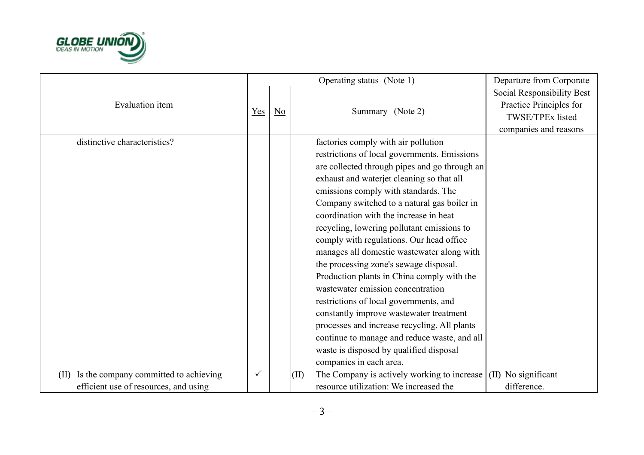

|                                                                                        |     |                           |      | Operating status (Note 1)                                                                                                                                                                                                                                                                                                                                                                                                                                                                                 | Departure from Corporate                                                                           |
|----------------------------------------------------------------------------------------|-----|---------------------------|------|-----------------------------------------------------------------------------------------------------------------------------------------------------------------------------------------------------------------------------------------------------------------------------------------------------------------------------------------------------------------------------------------------------------------------------------------------------------------------------------------------------------|----------------------------------------------------------------------------------------------------|
| Evaluation item                                                                        | Yes | $\underline{\mathrm{No}}$ |      | Summary (Note 2)                                                                                                                                                                                                                                                                                                                                                                                                                                                                                          | Social Responsibility Best<br>Practice Principles for<br>TWSE/TPEx listed<br>companies and reasons |
| distinctive characteristics?                                                           |     |                           |      | factories comply with air pollution<br>restrictions of local governments. Emissions<br>are collected through pipes and go through an<br>exhaust and waterjet cleaning so that all<br>emissions comply with standards. The<br>Company switched to a natural gas boiler in<br>coordination with the increase in heat<br>recycling, lowering pollutant emissions to<br>comply with regulations. Our head office<br>manages all domestic wastewater along with                                                |                                                                                                    |
| Is the company committed to achieving<br>(II)<br>efficient use of resources, and using | ✓   |                           | (II) | the processing zone's sewage disposal.<br>Production plants in China comply with the<br>wastewater emission concentration<br>restrictions of local governments, and<br>constantly improve wastewater treatment<br>processes and increase recycling. All plants<br>continue to manage and reduce waste, and all<br>waste is disposed by qualified disposal<br>companies in each area.<br>The Company is actively working to increase $\vert$ (II) No significant<br>resource utilization: We increased the | difference.                                                                                        |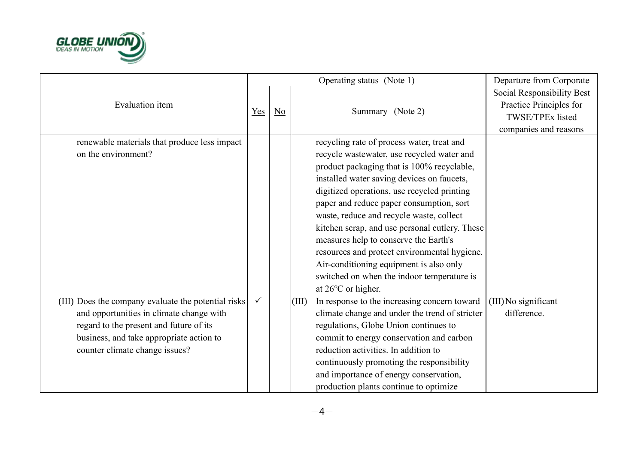

|                                                                                                                                                                                                                          |              |                           |       | Operating status (Note 1)                                                                                                                                                                                                                                                                                                                                                                                                                                                                                                                                                             | Departure from Corporate                                                                                  |
|--------------------------------------------------------------------------------------------------------------------------------------------------------------------------------------------------------------------------|--------------|---------------------------|-------|---------------------------------------------------------------------------------------------------------------------------------------------------------------------------------------------------------------------------------------------------------------------------------------------------------------------------------------------------------------------------------------------------------------------------------------------------------------------------------------------------------------------------------------------------------------------------------------|-----------------------------------------------------------------------------------------------------------|
| Evaluation item                                                                                                                                                                                                          | Yes          | $\underline{\mathrm{No}}$ |       | Summary (Note 2)                                                                                                                                                                                                                                                                                                                                                                                                                                                                                                                                                                      | Social Responsibility Best<br>Practice Principles for<br><b>TWSE/TPEx listed</b><br>companies and reasons |
| renewable materials that produce less impact<br>on the environment?                                                                                                                                                      |              |                           |       | recycling rate of process water, treat and<br>recycle wastewater, use recycled water and<br>product packaging that is 100% recyclable,<br>installed water saving devices on faucets,<br>digitized operations, use recycled printing<br>paper and reduce paper consumption, sort<br>waste, reduce and recycle waste, collect<br>kitchen scrap, and use personal cutlery. These<br>measures help to conserve the Earth's<br>resources and protect environmental hygiene.<br>Air-conditioning equipment is also only<br>switched on when the indoor temperature is<br>at 26°C or higher. |                                                                                                           |
| (III) Does the company evaluate the potential risks<br>and opportunities in climate change with<br>regard to the present and future of its<br>business, and take appropriate action to<br>counter climate change issues? | $\checkmark$ |                           | (III) | In response to the increasing concern toward<br>climate change and under the trend of stricter<br>regulations, Globe Union continues to<br>commit to energy conservation and carbon<br>reduction activities. In addition to<br>continuously promoting the responsibility<br>and importance of energy conservation,<br>production plants continue to optimize                                                                                                                                                                                                                          | (III) No significant<br>difference.                                                                       |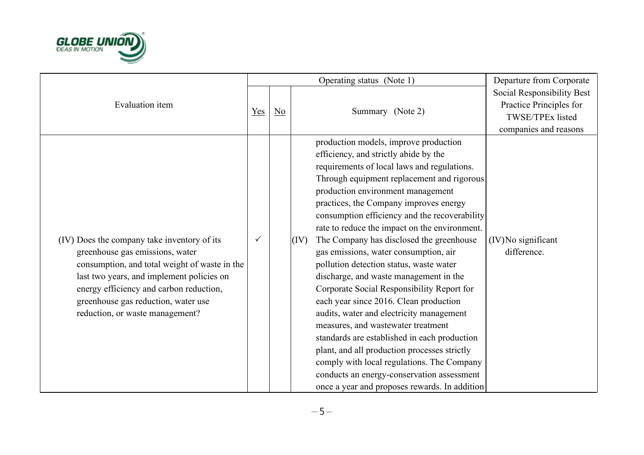

|                                               |              |                  |      | Operating status (Note 1)                     | Departure from Corporate                              |
|-----------------------------------------------|--------------|------------------|------|-----------------------------------------------|-------------------------------------------------------|
| Evaluation item                               |              |                  |      |                                               | Social Responsibility Best<br>Practice Principles for |
|                                               | Yes          | $\underline{No}$ |      | Summary (Note 2)                              | TWSE/TPEx listed                                      |
|                                               |              |                  |      |                                               | companies and reasons                                 |
|                                               |              |                  |      | production models, improve production         |                                                       |
|                                               |              |                  |      | efficiency, and strictly abide by the         |                                                       |
|                                               |              |                  |      | requirements of local laws and regulations.   |                                                       |
|                                               |              |                  |      | Through equipment replacement and rigorous    |                                                       |
|                                               |              |                  |      | production environment management             |                                                       |
|                                               |              |                  |      | practices, the Company improves energy        |                                                       |
|                                               |              |                  |      | consumption efficiency and the recoverability |                                                       |
|                                               |              |                  |      | rate to reduce the impact on the environment. |                                                       |
| (IV) Does the company take inventory of its   | $\checkmark$ |                  | (IV) | The Company has disclosed the greenhouse      | (IV) No significant                                   |
| greenhouse gas emissions, water               |              |                  |      | gas emissions, water consumption, air         | difference.                                           |
| consumption, and total weight of waste in the |              |                  |      | pollution detection status, waste water       |                                                       |
| last two years, and implement policies on     |              |                  |      | discharge, and waste management in the        |                                                       |
| energy efficiency and carbon reduction,       |              |                  |      | Corporate Social Responsibility Report for    |                                                       |
| greenhouse gas reduction, water use           |              |                  |      | each year since 2016. Clean production        |                                                       |
| reduction, or waste management?               |              |                  |      | audits, water and electricity management      |                                                       |
|                                               |              |                  |      | measures, and wastewater treatment            |                                                       |
|                                               |              |                  |      | standards are established in each production  |                                                       |
|                                               |              |                  |      | plant, and all production processes strictly  |                                                       |
|                                               |              |                  |      | comply with local regulations. The Company    |                                                       |
|                                               |              |                  |      | conducts an energy-conservation assessment    |                                                       |
|                                               |              |                  |      | once a year and proposes rewards. In addition |                                                       |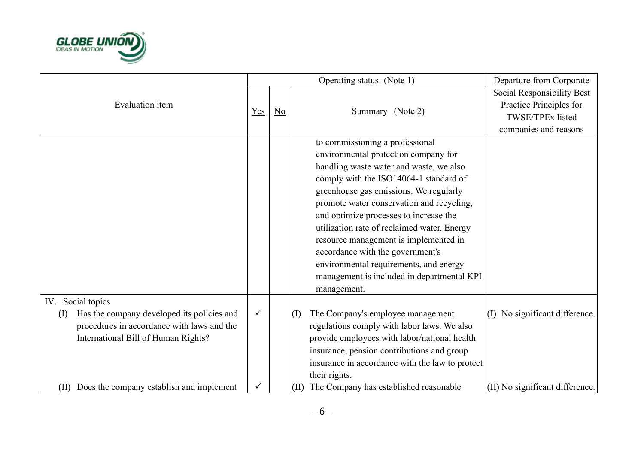

|                                                   |              |                        | Operating status (Note 1)                       | Departure from Corporate                              |
|---------------------------------------------------|--------------|------------------------|-------------------------------------------------|-------------------------------------------------------|
| Evaluation item                                   |              |                        |                                                 | Social Responsibility Best<br>Practice Principles for |
|                                                   | $Yes$        | $\overline{\text{No}}$ | Summary (Note 2)                                | TWSE/TPEx listed                                      |
|                                                   |              |                        |                                                 | companies and reasons                                 |
|                                                   |              |                        | to commissioning a professional                 |                                                       |
|                                                   |              |                        | environmental protection company for            |                                                       |
|                                                   |              |                        | handling waste water and waste, we also         |                                                       |
|                                                   |              |                        | comply with the ISO14064-1 standard of          |                                                       |
|                                                   |              |                        | greenhouse gas emissions. We regularly          |                                                       |
|                                                   |              |                        | promote water conservation and recycling,       |                                                       |
|                                                   |              |                        | and optimize processes to increase the          |                                                       |
|                                                   |              |                        | utilization rate of reclaimed water. Energy     |                                                       |
|                                                   |              |                        | resource management is implemented in           |                                                       |
|                                                   |              |                        | accordance with the government's                |                                                       |
|                                                   |              |                        | environmental requirements, and energy          |                                                       |
|                                                   |              |                        | management is included in departmental KPI      |                                                       |
|                                                   |              |                        | management.                                     |                                                       |
| IV. Social topics                                 |              |                        |                                                 |                                                       |
| Has the company developed its policies and<br>(I) | $\checkmark$ |                        | The Company's employee management<br>(I)        | (I) No significant difference.                        |
| procedures in accordance with laws and the        |              |                        | regulations comply with labor laws. We also     |                                                       |
| International Bill of Human Rights?               |              |                        | provide employees with labor/national health    |                                                       |
|                                                   |              |                        | insurance, pension contributions and group      |                                                       |
|                                                   |              |                        | insurance in accordance with the law to protect |                                                       |
|                                                   |              |                        | their rights.                                   |                                                       |
| (II) Does the company establish and implement     |              |                        | The Company has established reasonable<br>(II)  | $(II)$ No significant difference.                     |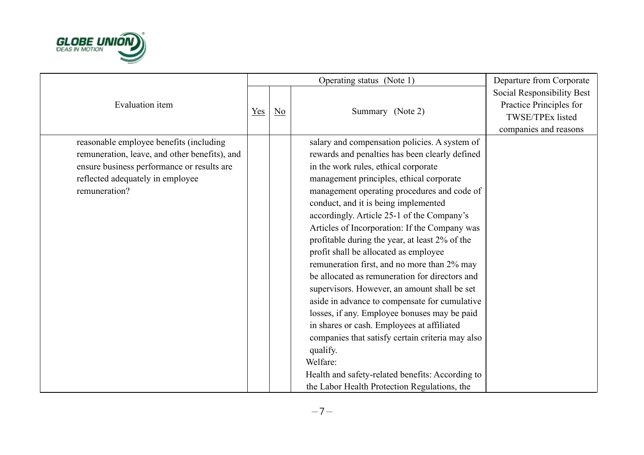

|                                                                                                                                                                                             |     |    | Operating status (Note 1)                                                                                                                                                                                                                                                                                                                                                                                                                                                                                                                                                                                                                                                                                                                                                                                                                                                                                                                            | Departure from Corporate                                                                                  |
|---------------------------------------------------------------------------------------------------------------------------------------------------------------------------------------------|-----|----|------------------------------------------------------------------------------------------------------------------------------------------------------------------------------------------------------------------------------------------------------------------------------------------------------------------------------------------------------------------------------------------------------------------------------------------------------------------------------------------------------------------------------------------------------------------------------------------------------------------------------------------------------------------------------------------------------------------------------------------------------------------------------------------------------------------------------------------------------------------------------------------------------------------------------------------------------|-----------------------------------------------------------------------------------------------------------|
| Evaluation item                                                                                                                                                                             | Yes | No | Summary (Note 2)                                                                                                                                                                                                                                                                                                                                                                                                                                                                                                                                                                                                                                                                                                                                                                                                                                                                                                                                     | Social Responsibility Best<br>Practice Principles for<br><b>TWSE/TPEx listed</b><br>companies and reasons |
| reasonable employee benefits (including<br>remuneration, leave, and other benefits), and<br>ensure business performance or results are<br>reflected adequately in employee<br>remuneration? |     |    | salary and compensation policies. A system of<br>rewards and penalties has been clearly defined<br>in the work rules, ethical corporate<br>management principles, ethical corporate<br>management operating procedures and code of<br>conduct, and it is being implemented<br>accordingly. Article 25-1 of the Company's<br>Articles of Incorporation: If the Company was<br>profitable during the year, at least 2% of the<br>profit shall be allocated as employee<br>remuneration first, and no more than 2% may<br>be allocated as remuneration for directors and<br>supervisors. However, an amount shall be set<br>aside in advance to compensate for cumulative<br>losses, if any. Employee bonuses may be paid<br>in shares or cash. Employees at affiliated<br>companies that satisfy certain criteria may also<br>qualify.<br>Welfare:<br>Health and safety-related benefits: According to<br>the Labor Health Protection Regulations, the |                                                                                                           |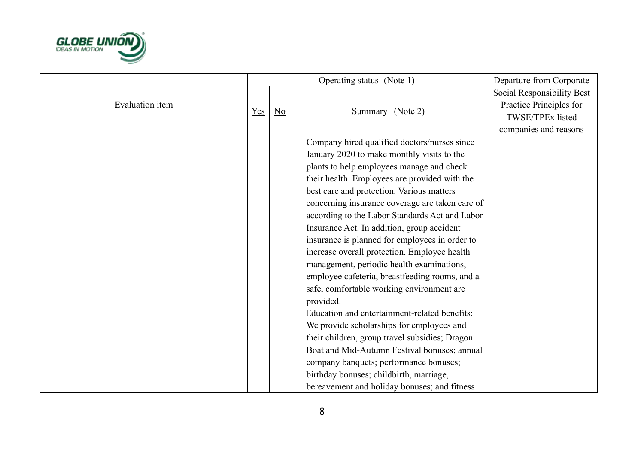

|                        |     |                           | Operating status (Note 1)                                                                                                                                                                                                                                                                                                                                                                                                                                                                                                                                                                                                                                                                                                                                                                                                                                                                                                                                                                | Departure from Corporate                                                                           |
|------------------------|-----|---------------------------|------------------------------------------------------------------------------------------------------------------------------------------------------------------------------------------------------------------------------------------------------------------------------------------------------------------------------------------------------------------------------------------------------------------------------------------------------------------------------------------------------------------------------------------------------------------------------------------------------------------------------------------------------------------------------------------------------------------------------------------------------------------------------------------------------------------------------------------------------------------------------------------------------------------------------------------------------------------------------------------|----------------------------------------------------------------------------------------------------|
| <b>Evaluation</b> item | Yes | $\underline{\mathrm{No}}$ | Summary (Note 2)                                                                                                                                                                                                                                                                                                                                                                                                                                                                                                                                                                                                                                                                                                                                                                                                                                                                                                                                                                         | Social Responsibility Best<br>Practice Principles for<br>TWSE/TPEx listed<br>companies and reasons |
|                        |     |                           | Company hired qualified doctors/nurses since<br>January 2020 to make monthly visits to the<br>plants to help employees manage and check<br>their health. Employees are provided with the<br>best care and protection. Various matters<br>concerning insurance coverage are taken care of<br>according to the Labor Standards Act and Labor<br>Insurance Act. In addition, group accident<br>insurance is planned for employees in order to<br>increase overall protection. Employee health<br>management, periodic health examinations,<br>employee cafeteria, breastfeeding rooms, and a<br>safe, comfortable working environment are<br>provided.<br>Education and entertainment-related benefits:<br>We provide scholarships for employees and<br>their children, group travel subsidies; Dragon<br>Boat and Mid-Autumn Festival bonuses; annual<br>company banquets; performance bonuses;<br>birthday bonuses; childbirth, marriage,<br>bereavement and holiday bonuses; and fitness |                                                                                                    |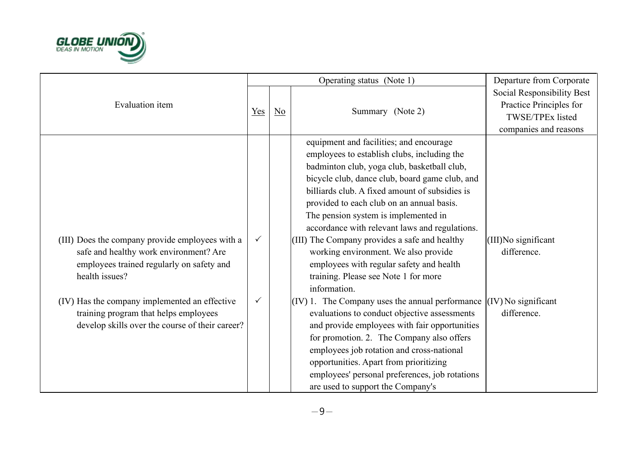

|                                                                                                                                                          |              |                  | Operating status (Note 1)                                                                                                                                                                                                                                                                                                                                                                                                                                                                                                                                                     | Departure from Corporate                                                                           |
|----------------------------------------------------------------------------------------------------------------------------------------------------------|--------------|------------------|-------------------------------------------------------------------------------------------------------------------------------------------------------------------------------------------------------------------------------------------------------------------------------------------------------------------------------------------------------------------------------------------------------------------------------------------------------------------------------------------------------------------------------------------------------------------------------|----------------------------------------------------------------------------------------------------|
| <b>Evaluation</b> item<br>$Yes$                                                                                                                          |              | $\underline{No}$ | Summary (Note 2)                                                                                                                                                                                                                                                                                                                                                                                                                                                                                                                                                              | Social Responsibility Best<br>Practice Principles for<br>TWSE/TPEx listed<br>companies and reasons |
| (III) Does the company provide employees with a<br>safe and healthy work environment? Are<br>employees trained regularly on safety and<br>health issues? | $\checkmark$ |                  | equipment and facilities; and encourage<br>employees to establish clubs, including the<br>badminton club, yoga club, basketball club,<br>bicycle club, dance club, board game club, and<br>billiards club. A fixed amount of subsidies is<br>provided to each club on an annual basis.<br>The pension system is implemented in<br>accordance with relevant laws and regulations.<br>(III) The Company provides a safe and healthy<br>working environment. We also provide<br>employees with regular safety and health<br>training. Please see Note 1 for more<br>information. | (III)No significant<br>difference.                                                                 |
| (IV) Has the company implemented an effective<br>training program that helps employees<br>develop skills over the course of their career?                | $\checkmark$ |                  | $(IV)$ 1. The Company uses the annual performance<br>evaluations to conduct objective assessments<br>and provide employees with fair opportunities<br>for promotion. 2. The Company also offers<br>employees job rotation and cross-national<br>opportunities. Apart from prioritizing<br>employees' personal preferences, job rotations<br>are used to support the Company's                                                                                                                                                                                                 | $(IV)$ No significant<br>difference.                                                               |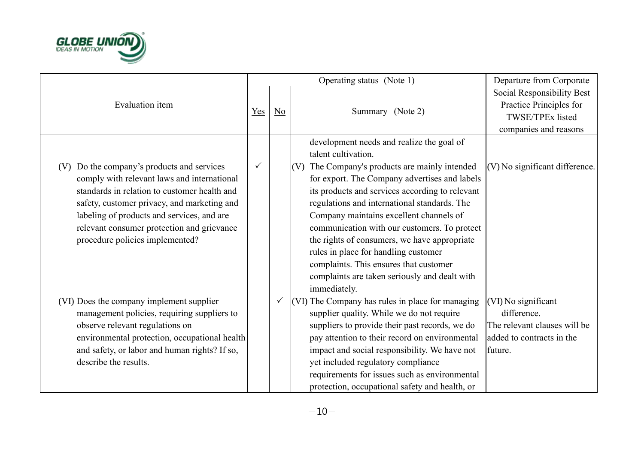

|                                                                                                                                                                                                                                                                           |              |                  | Operating status (Note 1)                                                                                                                                                                                                                                                                                                                                                                                                                      | Departure from Corporate                                                                                   |
|---------------------------------------------------------------------------------------------------------------------------------------------------------------------------------------------------------------------------------------------------------------------------|--------------|------------------|------------------------------------------------------------------------------------------------------------------------------------------------------------------------------------------------------------------------------------------------------------------------------------------------------------------------------------------------------------------------------------------------------------------------------------------------|------------------------------------------------------------------------------------------------------------|
| Evaluation item<br>$Yes$                                                                                                                                                                                                                                                  |              | $\underline{No}$ | Summary (Note 2)                                                                                                                                                                                                                                                                                                                                                                                                                               | Social Responsibility Best<br>Practice Principles for<br>TWSE/TPEx listed<br>companies and reasons         |
| Do the company's products and services<br>(V)                                                                                                                                                                                                                             | $\checkmark$ |                  | development needs and realize the goal of<br>talent cultivation.<br>$(V)$ The Company's products are mainly intended                                                                                                                                                                                                                                                                                                                           | (V) No significant difference.                                                                             |
| comply with relevant laws and international<br>standards in relation to customer health and<br>safety, customer privacy, and marketing and<br>labeling of products and services, and are<br>relevant consumer protection and grievance<br>procedure policies implemented? |              |                  | for export. The Company advertises and labels<br>its products and services according to relevant<br>regulations and international standards. The<br>Company maintains excellent channels of<br>communication with our customers. To protect<br>the rights of consumers, we have appropriate<br>rules in place for handling customer<br>complaints. This ensures that customer<br>complaints are taken seriously and dealt with<br>immediately. |                                                                                                            |
| (VI) Does the company implement supplier<br>management policies, requiring suppliers to<br>observe relevant regulations on<br>environmental protection, occupational health<br>and safety, or labor and human rights? If so,<br>describe the results.                     |              | $\checkmark$     | (VI) The Company has rules in place for managing<br>supplier quality. While we do not require<br>suppliers to provide their past records, we do<br>pay attention to their record on environmental<br>impact and social responsibility. We have not<br>yet included regulatory compliance<br>requirements for issues such as environmental<br>protection, occupational safety and health, or                                                    | (VI) No significant<br>difference.<br>The relevant clauses will be<br>added to contracts in the<br>future. |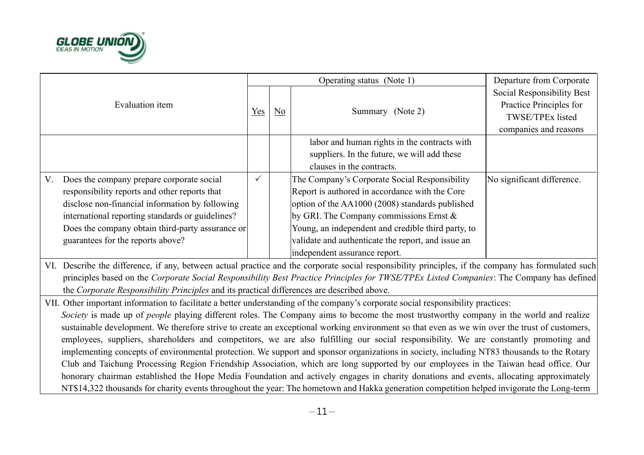

|                 |                                                                                            |              |    | Operating status (Note 1)                                                                                                                           | Departure from Corporate                              |
|-----------------|--------------------------------------------------------------------------------------------|--------------|----|-----------------------------------------------------------------------------------------------------------------------------------------------------|-------------------------------------------------------|
| Evaluation item |                                                                                            |              |    |                                                                                                                                                     | Social Responsibility Best<br>Practice Principles for |
|                 |                                                                                            | Yes          | No | Summary (Note 2)                                                                                                                                    | TWSE/TPEx listed                                      |
|                 |                                                                                            |              |    |                                                                                                                                                     | companies and reasons                                 |
|                 |                                                                                            |              |    | labor and human rights in the contracts with                                                                                                        |                                                       |
|                 |                                                                                            |              |    | suppliers. In the future, we will add these                                                                                                         |                                                       |
|                 |                                                                                            |              |    | clauses in the contracts.                                                                                                                           |                                                       |
| V.              | Does the company prepare corporate social                                                  | $\checkmark$ |    | The Company's Corporate Social Responsibility                                                                                                       | No significant difference.                            |
|                 | responsibility reports and other reports that                                              |              |    | Report is authored in accordance with the Core                                                                                                      |                                                       |
|                 | disclose non-financial information by following                                            |              |    | option of the AA1000 (2008) standards published                                                                                                     |                                                       |
|                 | international reporting standards or guidelines?                                           |              |    | by GRI. The Company commissions Ernst $\&$                                                                                                          |                                                       |
|                 | Does the company obtain third-party assurance or                                           |              |    | Young, an independent and credible third party, to                                                                                                  |                                                       |
|                 | guarantees for the reports above?                                                          |              |    | validate and authenticate the report, and issue an                                                                                                  |                                                       |
|                 |                                                                                            |              |    | independent assurance report.                                                                                                                       |                                                       |
|                 |                                                                                            |              |    | VI. Describe the difference, if any, between actual practice and the corporate social responsibility principles, if the company has formulated such |                                                       |
|                 |                                                                                            |              |    | principles based on the Corporate Social Responsibility Best Practice Principles for TWSE/TPEx Listed Companies: The Company has defined            |                                                       |
|                 | the Corporate Responsibility Principles and its practical differences are described above. |              |    |                                                                                                                                                     |                                                       |
|                 |                                                                                            |              |    | VII. Other important information to facilitate a better understanding of the company's corporate social responsibility practices:                   |                                                       |
|                 |                                                                                            |              |    | Society is made up of people playing different roles. The Company aims to become the most trustworthy company in the world and realize              |                                                       |
|                 |                                                                                            |              |    | sustainable development. We therefore strive to create an exceptional working environment so that even as we win over the trust of customers,       |                                                       |
|                 |                                                                                            |              |    | employees, suppliers, shareholders and competitors, we are also fulfilling our social responsibility. We are constantly promoting and               |                                                       |
|                 |                                                                                            |              |    | implementing concepts of environmental protection. We support and sponsor organizations in society, including NT83 thousands to the Rotary          |                                                       |
|                 |                                                                                            |              |    | Club and Taichung Processing Region Friendship Association, which are long supported by our employees in the Taiwan head office. Our                |                                                       |
|                 |                                                                                            |              |    | honorary chairman established the Hope Media Foundation and actively engages in charity donations and events, allocating approximately              |                                                       |
|                 |                                                                                            |              |    | NT\$14,322 thousands for charity events throughout the year: The hometown and Hakka generation competition helped invigorate the Long-term          |                                                       |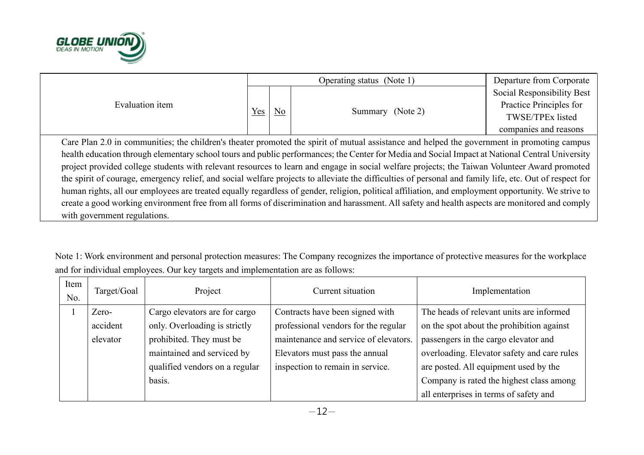

|                                                                                                                                                     |     |                | Operating status (Note 1)                                                                                                                               | Departure from Corporate   |  |  |
|-----------------------------------------------------------------------------------------------------------------------------------------------------|-----|----------------|---------------------------------------------------------------------------------------------------------------------------------------------------------|----------------------------|--|--|
| Evaluation item                                                                                                                                     |     |                |                                                                                                                                                         | Social Responsibility Best |  |  |
|                                                                                                                                                     |     |                |                                                                                                                                                         | Practice Principles for    |  |  |
|                                                                                                                                                     | Yes | N <sub>o</sub> | Summary (Note 2)                                                                                                                                        | TWSE/TPEx listed           |  |  |
|                                                                                                                                                     |     |                |                                                                                                                                                         | companies and reasons      |  |  |
| Care Plan 2.0 in communities; the children's theater promoted the spirit of mutual assistance and helped the government in promoting campus         |     |                |                                                                                                                                                         |                            |  |  |
|                                                                                                                                                     |     |                | health education through elementary school tours and public performances; the Center for Media and Social Impact at National Central University         |                            |  |  |
|                                                                                                                                                     |     |                | project provided college students with relevant resources to learn and engage in social welfare projects; the Taiwan Volunteer Award promoted           |                            |  |  |
|                                                                                                                                                     |     |                | the spirit of courage, emergency relief, and social welfare projects to alleviate the difficulties of personal and family life, etc. Out of respect for |                            |  |  |
| human rights, all our employees are treated equally regardless of gender, religion, political affiliation, and employment opportunity. We strive to |     |                |                                                                                                                                                         |                            |  |  |
| create a good working environment free from all forms of discrimination and harassment. All safety and health aspects are monitored and comply      |     |                |                                                                                                                                                         |                            |  |  |
| with government regulations.                                                                                                                        |     |                |                                                                                                                                                         |                            |  |  |

Note 1: Work environment and personal protection measures: The Company recognizes the importance of protective measures for the workplace and for individual employees. Our key targets and implementation are as follows:

| Item<br>No. | Target/Goal | Project                        | Current situation                     | Implementation                              |
|-------------|-------------|--------------------------------|---------------------------------------|---------------------------------------------|
|             | Zero-       | Cargo elevators are for cargo  | Contracts have been signed with       | The heads of relevant units are informed    |
|             | accident    | only. Overloading is strictly  | professional vendors for the regular  | on the spot about the prohibition against   |
|             | elevator    | prohibited. They must be       | maintenance and service of elevators. | passengers in the cargo elevator and        |
|             |             | maintained and serviced by     | Elevators must pass the annual        | overloading. Elevator safety and care rules |
|             |             | qualified vendors on a regular | inspection to remain in service.      | are posted. All equipment used by the       |
|             |             | basis.                         |                                       | Company is rated the highest class among    |
|             |             |                                |                                       | all enterprises in terms of safety and      |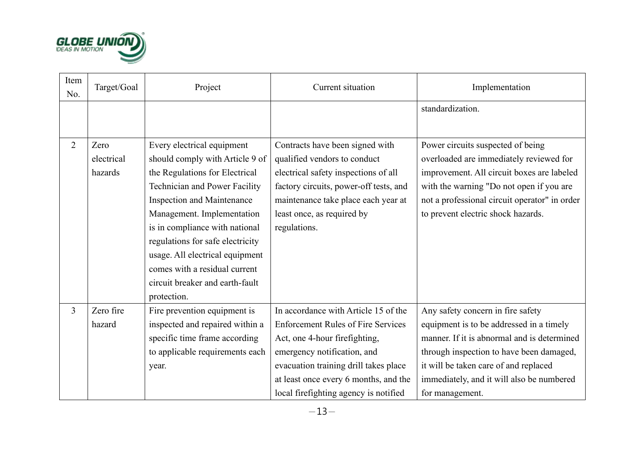

| Item<br>No.    | Target/Goal                   | Project                                                                                                                                                                                                                                                                                                                                                                                                | Current situation                                                                                                                                                                                                                                                            | Implementation                                                                                                                                                                                                                                                                    |
|----------------|-------------------------------|--------------------------------------------------------------------------------------------------------------------------------------------------------------------------------------------------------------------------------------------------------------------------------------------------------------------------------------------------------------------------------------------------------|------------------------------------------------------------------------------------------------------------------------------------------------------------------------------------------------------------------------------------------------------------------------------|-----------------------------------------------------------------------------------------------------------------------------------------------------------------------------------------------------------------------------------------------------------------------------------|
|                |                               |                                                                                                                                                                                                                                                                                                                                                                                                        |                                                                                                                                                                                                                                                                              | standardization.                                                                                                                                                                                                                                                                  |
| $\overline{2}$ | Zero<br>electrical<br>hazards | Every electrical equipment<br>should comply with Article 9 of<br>the Regulations for Electrical<br><b>Technician and Power Facility</b><br><b>Inspection and Maintenance</b><br>Management. Implementation<br>is in compliance with national<br>regulations for safe electricity<br>usage. All electrical equipment<br>comes with a residual current<br>circuit breaker and earth-fault<br>protection. | Contracts have been signed with<br>qualified vendors to conduct<br>electrical safety inspections of all<br>factory circuits, power-off tests, and<br>maintenance take place each year at<br>least once, as required by<br>regulations.                                       | Power circuits suspected of being<br>overloaded are immediately reviewed for<br>improvement. All circuit boxes are labeled<br>with the warning "Do not open if you are<br>not a professional circuit operator" in order<br>to prevent electric shock hazards.                     |
| $\overline{3}$ | Zero fire<br>hazard           | Fire prevention equipment is<br>inspected and repaired within a<br>specific time frame according<br>to applicable requirements each<br>year.                                                                                                                                                                                                                                                           | In accordance with Article 15 of the<br><b>Enforcement Rules of Fire Services</b><br>Act, one 4-hour firefighting,<br>emergency notification, and<br>evacuation training drill takes place<br>at least once every 6 months, and the<br>local firefighting agency is notified | Any safety concern in fire safety<br>equipment is to be addressed in a timely<br>manner. If it is abnormal and is determined<br>through inspection to have been damaged,<br>it will be taken care of and replaced<br>immediately, and it will also be numbered<br>for management. |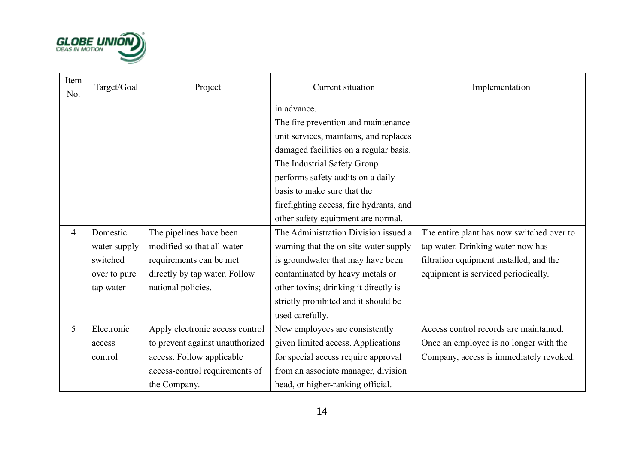

| Item<br>No. | Target/Goal  | Project                         | Current situation                       | Implementation                            |
|-------------|--------------|---------------------------------|-----------------------------------------|-------------------------------------------|
|             |              |                                 | in advance.                             |                                           |
|             |              |                                 | The fire prevention and maintenance     |                                           |
|             |              |                                 | unit services, maintains, and replaces  |                                           |
|             |              |                                 | damaged facilities on a regular basis.  |                                           |
|             |              |                                 | The Industrial Safety Group             |                                           |
|             |              |                                 | performs safety audits on a daily       |                                           |
|             |              |                                 | basis to make sure that the             |                                           |
|             |              |                                 | firefighting access, fire hydrants, and |                                           |
|             |              |                                 | other safety equipment are normal.      |                                           |
| 4           | Domestic     | The pipelines have been         | The Administration Division issued a    | The entire plant has now switched over to |
|             | water supply | modified so that all water      | warning that the on-site water supply   | tap water. Drinking water now has         |
|             | switched     | requirements can be met         | is groundwater that may have been       | filtration equipment installed, and the   |
|             | over to pure | directly by tap water. Follow   | contaminated by heavy metals or         | equipment is serviced periodically.       |
|             | tap water    | national policies.              | other toxins; drinking it directly is   |                                           |
|             |              |                                 | strictly prohibited and it should be    |                                           |
|             |              |                                 | used carefully.                         |                                           |
| 5           | Electronic   | Apply electronic access control | New employees are consistently          | Access control records are maintained.    |
|             | access       | to prevent against unauthorized | given limited access. Applications      | Once an employee is no longer with the    |
|             | control      | access. Follow applicable       | for special access require approval     | Company, access is immediately revoked.   |
|             |              | access-control requirements of  | from an associate manager, division     |                                           |
|             |              | the Company.                    | head, or higher-ranking official.       |                                           |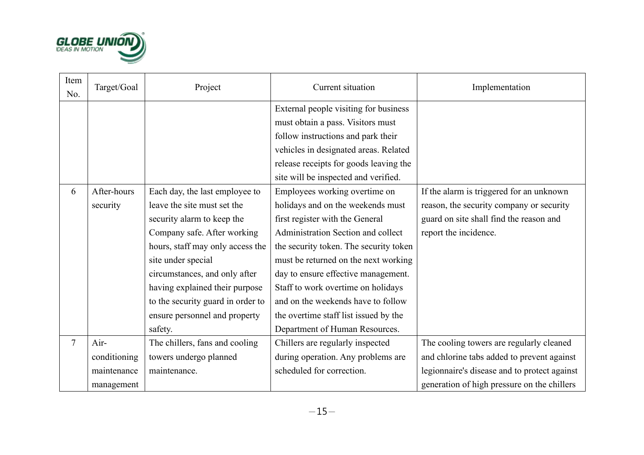

| Item<br>No.    | Target/Goal  | Project                           | Current situation                      | Implementation                               |
|----------------|--------------|-----------------------------------|----------------------------------------|----------------------------------------------|
|                |              |                                   | External people visiting for business  |                                              |
|                |              |                                   | must obtain a pass. Visitors must      |                                              |
|                |              |                                   | follow instructions and park their     |                                              |
|                |              |                                   | vehicles in designated areas. Related  |                                              |
|                |              |                                   | release receipts for goods leaving the |                                              |
|                |              |                                   | site will be inspected and verified.   |                                              |
| 6              | After-hours  | Each day, the last employee to    | Employees working overtime on          | If the alarm is triggered for an unknown     |
|                | security     | leave the site must set the       | holidays and on the weekends must      | reason, the security company or security     |
|                |              | security alarm to keep the        | first register with the General        | guard on site shall find the reason and      |
|                |              | Company safe. After working       | Administration Section and collect     | report the incidence.                        |
|                |              | hours, staff may only access the  | the security token. The security token |                                              |
|                |              | site under special                | must be returned on the next working   |                                              |
|                |              | circumstances, and only after     | day to ensure effective management.    |                                              |
|                |              | having explained their purpose    | Staff to work overtime on holidays     |                                              |
|                |              | to the security guard in order to | and on the weekends have to follow     |                                              |
|                |              | ensure personnel and property     | the overtime staff list issued by the  |                                              |
|                |              | safety.                           | Department of Human Resources.         |                                              |
| $\overline{7}$ | Air-         | The chillers, fans and cooling    | Chillers are regularly inspected       | The cooling towers are regularly cleaned     |
|                | conditioning | towers undergo planned            | during operation. Any problems are     | and chlorine tabs added to prevent against   |
|                | maintenance  | maintenance.                      | scheduled for correction.              | legionnaire's disease and to protect against |
|                | management   |                                   |                                        | generation of high pressure on the chillers  |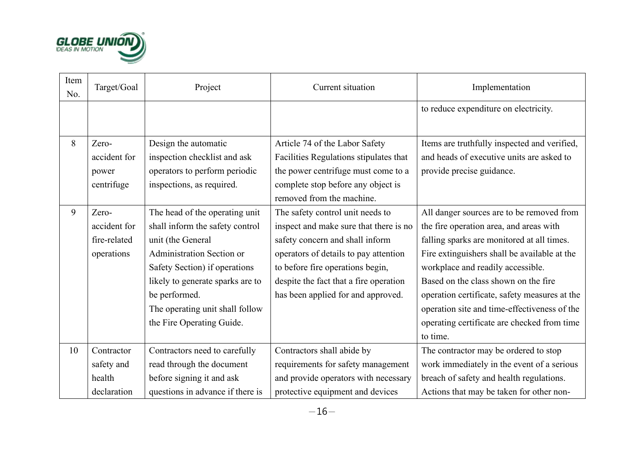

| Item<br>No. | Target/Goal  | Project                          | Current situation                      | Implementation                                |
|-------------|--------------|----------------------------------|----------------------------------------|-----------------------------------------------|
|             |              |                                  |                                        | to reduce expenditure on electricity.         |
|             |              |                                  |                                        |                                               |
| 8           | Zero-        | Design the automatic             | Article 74 of the Labor Safety         | Items are truthfully inspected and verified,  |
|             | accident for | inspection checklist and ask     | Facilities Regulations stipulates that | and heads of executive units are asked to     |
|             | power        | operators to perform periodic    | the power centrifuge must come to a    | provide precise guidance.                     |
|             | centrifuge   | inspections, as required.        | complete stop before any object is     |                                               |
|             |              |                                  | removed from the machine.              |                                               |
| 9           | Zero-        | The head of the operating unit   | The safety control unit needs to       | All danger sources are to be removed from     |
|             | accident for | shall inform the safety control  | inspect and make sure that there is no | the fire operation area, and areas with       |
|             | fire-related | unit (the General                | safety concern and shall inform        | falling sparks are monitored at all times.    |
|             | operations   | <b>Administration Section or</b> | operators of details to pay attention  | Fire extinguishers shall be available at the  |
|             |              | Safety Section) if operations    | to before fire operations begin,       | workplace and readily accessible.             |
|             |              | likely to generate sparks are to | despite the fact that a fire operation | Based on the class shown on the fire          |
|             |              | be performed.                    | has been applied for and approved.     | operation certificate, safety measures at the |
|             |              | The operating unit shall follow  |                                        | operation site and time-effectiveness of the  |
|             |              | the Fire Operating Guide.        |                                        | operating certificate are checked from time   |
|             |              |                                  |                                        | to time.                                      |
| 10          | Contractor   | Contractors need to carefully    | Contractors shall abide by             | The contractor may be ordered to stop         |
|             | safety and   | read through the document        | requirements for safety management     | work immediately in the event of a serious    |
|             | health       | before signing it and ask        | and provide operators with necessary   | breach of safety and health regulations.      |
|             | declaration  | questions in advance if there is | protective equipment and devices       | Actions that may be taken for other non-      |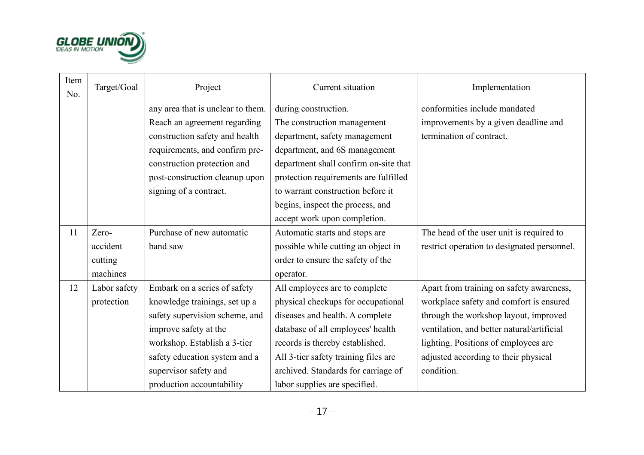

| Item<br>No. | Target/Goal  | Project                           | Current situation                     | Implementation                              |
|-------------|--------------|-----------------------------------|---------------------------------------|---------------------------------------------|
|             |              | any area that is unclear to them. | during construction.                  | conformities include mandated               |
|             |              | Reach an agreement regarding      | The construction management           | improvements by a given deadline and        |
|             |              | construction safety and health    | department, safety management         | termination of contract.                    |
|             |              | requirements, and confirm pre-    | department, and 6S management         |                                             |
|             |              | construction protection and       | department shall confirm on-site that |                                             |
|             |              | post-construction cleanup upon    | protection requirements are fulfilled |                                             |
|             |              | signing of a contract.            | to warrant construction before it     |                                             |
|             |              |                                   | begins, inspect the process, and      |                                             |
|             |              |                                   | accept work upon completion.          |                                             |
| 11          | Zero-        | Purchase of new automatic         | Automatic starts and stops are        | The head of the user unit is required to    |
|             | accident     | band saw                          | possible while cutting an object in   | restrict operation to designated personnel. |
|             | cutting      |                                   | order to ensure the safety of the     |                                             |
|             | machines     |                                   | operator.                             |                                             |
| 12          | Labor safety | Embark on a series of safety      | All employees are to complete         | Apart from training on safety awareness,    |
|             | protection   | knowledge trainings, set up a     | physical checkups for occupational    | workplace safety and comfort is ensured     |
|             |              | safety supervision scheme, and    | diseases and health. A complete       | through the workshop layout, improved       |
|             |              | improve safety at the             | database of all employees' health     | ventilation, and better natural/artificial  |
|             |              | workshop. Establish a 3-tier      | records is thereby established.       | lighting. Positions of employees are        |
|             |              | safety education system and a     | All 3-tier safety training files are  | adjusted according to their physical        |
|             |              | supervisor safety and             | archived. Standards for carriage of   | condition.                                  |
|             |              | production accountability         | labor supplies are specified.         |                                             |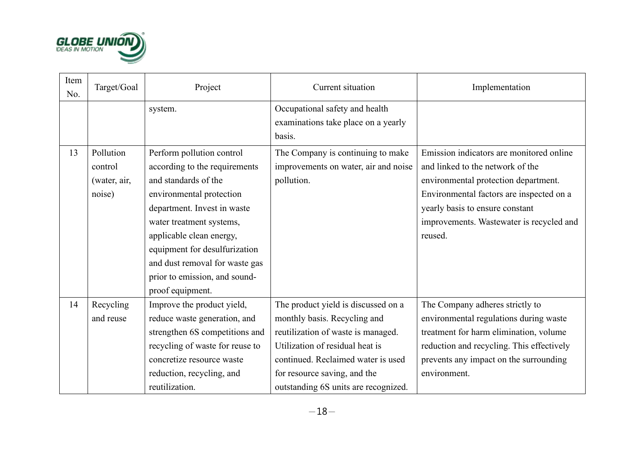

| Item<br>No. | Target/Goal                                    | Project                                                                                                                                                                                                                                                                                                                       | Current situation                                                                                                                                                                                                                                          | Implementation                                                                                                                                                                                                                                             |
|-------------|------------------------------------------------|-------------------------------------------------------------------------------------------------------------------------------------------------------------------------------------------------------------------------------------------------------------------------------------------------------------------------------|------------------------------------------------------------------------------------------------------------------------------------------------------------------------------------------------------------------------------------------------------------|------------------------------------------------------------------------------------------------------------------------------------------------------------------------------------------------------------------------------------------------------------|
|             |                                                | system.                                                                                                                                                                                                                                                                                                                       | Occupational safety and health<br>examinations take place on a yearly<br>basis.                                                                                                                                                                            |                                                                                                                                                                                                                                                            |
| 13          | Pollution<br>control<br>(water, air,<br>noise) | Perform pollution control<br>according to the requirements<br>and standards of the<br>environmental protection<br>department. Invest in waste<br>water treatment systems,<br>applicable clean energy,<br>equipment for desulfurization<br>and dust removal for waste gas<br>prior to emission, and sound-<br>proof equipment. | The Company is continuing to make<br>improvements on water, air and noise<br>pollution.                                                                                                                                                                    | Emission indicators are monitored online<br>and linked to the network of the<br>environmental protection department.<br>Environmental factors are inspected on a<br>yearly basis to ensure constant<br>improvements. Wastewater is recycled and<br>reused. |
| 14          | Recycling<br>and reuse                         | Improve the product yield,<br>reduce waste generation, and<br>strengthen 6S competitions and<br>recycling of waste for reuse to<br>concretize resource waste<br>reduction, recycling, and<br>reutilization.                                                                                                                   | The product yield is discussed on a<br>monthly basis. Recycling and<br>reutilization of waste is managed.<br>Utilization of residual heat is<br>continued. Reclaimed water is used<br>for resource saving, and the<br>outstanding 6S units are recognized. | The Company adheres strictly to<br>environmental regulations during waste<br>treatment for harm elimination, volume<br>reduction and recycling. This effectively<br>prevents any impact on the surrounding<br>environment.                                 |